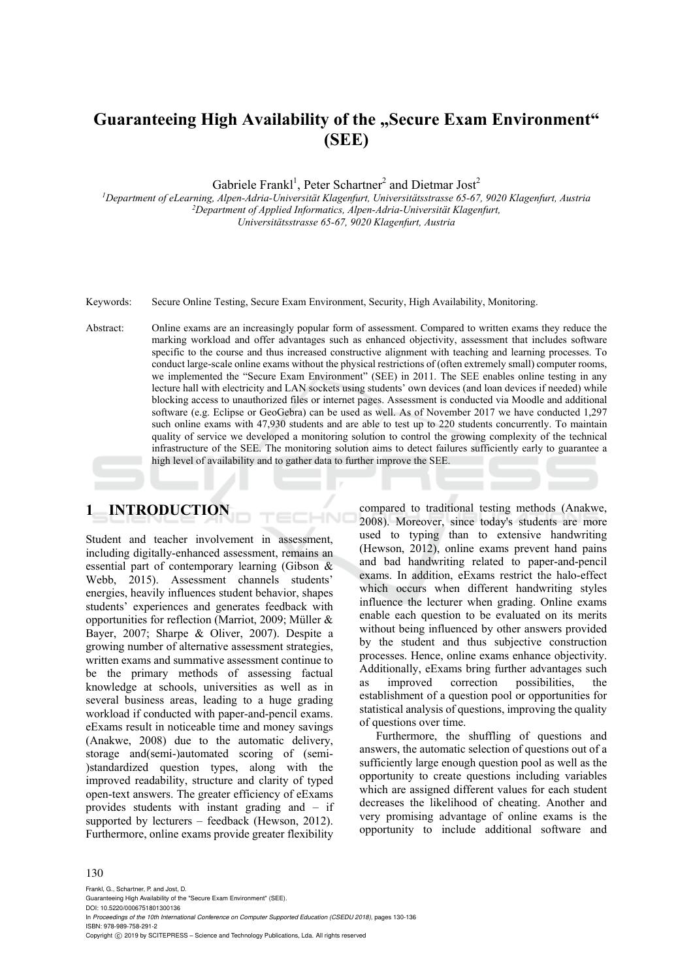# **Guaranteeing High Availability of the "Secure Exam Environment" (SEE)**

Gabriele Frankl<sup>1</sup>, Peter Schartner<sup>2</sup> and Dietmar Jost<sup>2</sup>

*1Department of eLearning, Alpen-Adria-Universität Klagenfurt, Universitätsstrasse 65-67, 9020 Klagenfurt, Austria 2Department of Applied Informatics, Alpen-Adria-Universität Klagenfurt, Universitätsstrasse 65-67, 9020 Klagenfurt, Austria* 

Keywords: Secure Online Testing, Secure Exam Environment, Security, High Availability, Monitoring.

Abstract: Online exams are an increasingly popular form of assessment. Compared to written exams they reduce the marking workload and offer advantages such as enhanced objectivity, assessment that includes software specific to the course and thus increased constructive alignment with teaching and learning processes. To conduct large-scale online exams without the physical restrictions of (often extremely small) computer rooms, we implemented the "Secure Exam Environment" (SEE) in 2011. The SEE enables online testing in any lecture hall with electricity and LAN sockets using students' own devices (and loan devices if needed) while blocking access to unauthorized files or internet pages. Assessment is conducted via Moodle and additional software (e.g. Eclipse or GeoGebra) can be used as well. As of November 2017 we have conducted 1,297 such online exams with 47,930 students and are able to test up to 220 students concurrently. To maintain quality of service we developed a monitoring solution to control the growing complexity of the technical infrastructure of the SEE. The monitoring solution aims to detect failures sufficiently early to guarantee a high level of availability and to gather data to further improve the SEE.

HNC

## **1 INTRODUCTION**

Student and teacher involvement in assessment, including digitally-enhanced assessment, remains an essential part of contemporary learning (Gibson & Webb, 2015). Assessment channels students' energies, heavily influences student behavior, shapes students' experiences and generates feedback with opportunities for reflection (Marriot, 2009; Müller & Bayer, 2007; Sharpe & Oliver, 2007). Despite a growing number of alternative assessment strategies, written exams and summative assessment continue to be the primary methods of assessing factual knowledge at schools, universities as well as in several business areas, leading to a huge grading workload if conducted with paper-and-pencil exams. eExams result in noticeable time and money savings (Anakwe, 2008) due to the automatic delivery, storage and(semi-)automated scoring of (semi- )standardized question types, along with the improved readability, structure and clarity of typed open-text answers. The greater efficiency of eExams provides students with instant grading and – if supported by lecturers – feedback (Hewson, 2012). Furthermore, online exams provide greater flexibility

compared to traditional testing methods (Anakwe, 2008). Moreover, since today's students are more used to typing than to extensive handwriting (Hewson, 2012), online exams prevent hand pains and bad handwriting related to paper-and-pencil exams. In addition, eExams restrict the halo-effect which occurs when different handwriting styles influence the lecturer when grading. Online exams enable each question to be evaluated on its merits without being influenced by other answers provided by the student and thus subjective construction processes. Hence, online exams enhance objectivity. Additionally, eExams bring further advantages such as improved correction possibilities, the establishment of a question pool or opportunities for statistical analysis of questions, improving the quality of questions over time.

Furthermore, the shuffling of questions and answers, the automatic selection of questions out of a sufficiently large enough question pool as well as the opportunity to create questions including variables which are assigned different values for each student decreases the likelihood of cheating. Another and very promising advantage of online exams is the opportunity to include additional software and

#### 130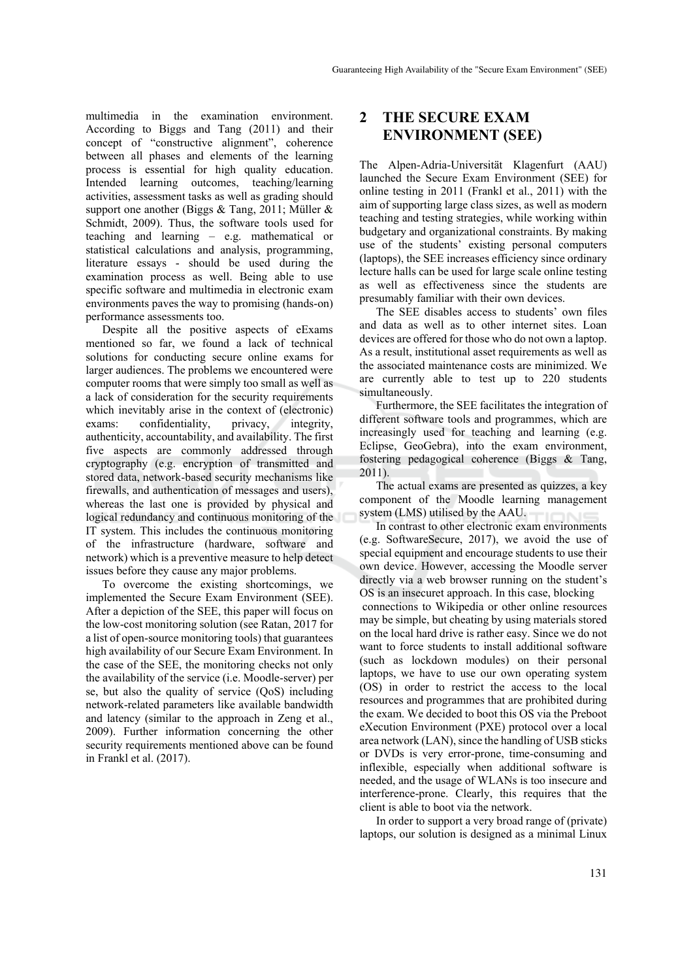multimedia in the examination environment. According to Biggs and Tang (2011) and their concept of "constructive alignment", coherence between all phases and elements of the learning process is essential for high quality education. Intended learning outcomes, teaching/learning activities, assessment tasks as well as grading should support one another (Biggs & Tang, 2011; Müller & Schmidt, 2009). Thus, the software tools used for teaching and learning – e.g. mathematical or statistical calculations and analysis, programming, literature essays - should be used during the examination process as well. Being able to use specific software and multimedia in electronic exam environments paves the way to promising (hands-on) performance assessments too.

Despite all the positive aspects of eExams mentioned so far, we found a lack of technical solutions for conducting secure online exams for larger audiences. The problems we encountered were computer rooms that were simply too small as well as a lack of consideration for the security requirements which inevitably arise in the context of (electronic) exams: confidentiality, privacy, integrity, authenticity, accountability, and availability. The first five aspects are commonly addressed through cryptography (e.g. encryption of transmitted and stored data, network-based security mechanisms like firewalls, and authentication of messages and users), whereas the last one is provided by physical and logical redundancy and continuous monitoring of the IT system. This includes the continuous monitoring of the infrastructure (hardware, software and network) which is a preventive measure to help detect issues before they cause any major problems.

To overcome the existing shortcomings, we implemented the Secure Exam Environment (SEE). After a depiction of the SEE, this paper will focus on the low-cost monitoring solution (see Ratan, 2017 for a list of open-source monitoring tools) that guarantees high availability of our Secure Exam Environment. In the case of the SEE, the monitoring checks not only the availability of the service (i.e. Moodle-server) per se, but also the quality of service (QoS) including network-related parameters like available bandwidth and latency (similar to the approach in Zeng et al., 2009). Further information concerning the other security requirements mentioned above can be found in Frankl et al. (2017).

### **2 THE SECURE EXAM ENVIRONMENT (SEE)**

The Alpen-Adria-Universität Klagenfurt (AAU) launched the Secure Exam Environment (SEE) for online testing in 2011 (Frankl et al., 2011) with the aim of supporting large class sizes, as well as modern teaching and testing strategies, while working within budgetary and organizational constraints. By making use of the students' existing personal computers (laptops), the SEE increases efficiency since ordinary lecture halls can be used for large scale online testing as well as effectiveness since the students are presumably familiar with their own devices.

The SEE disables access to students' own files and data as well as to other internet sites. Loan devices are offered for those who do not own a laptop. As a result, institutional asset requirements as well as the associated maintenance costs are minimized. We are currently able to test up to 220 students simultaneously.

Furthermore, the SEE facilitates the integration of different software tools and programmes, which are increasingly used for teaching and learning (e.g. Eclipse, GeoGebra), into the exam environment, fostering pedagogical coherence (Biggs & Tang, 2011).

The actual exams are presented as quizzes, a key component of the Moodle learning management system (LMS) utilised by the AAU.

In contrast to other electronic exam environments (e.g. SoftwareSecure, 2017), we avoid the use of special equipment and encourage students to use their own device. However, accessing the Moodle server directly via a web browser running on the student's OS is an insecuret approach. In this case, blocking connections to Wikipedia or other online resources may be simple, but cheating by using materials stored on the local hard drive is rather easy. Since we do not want to force students to install additional software (such as lockdown modules) on their personal laptops, we have to use our own operating system (OS) in order to restrict the access to the local resources and programmes that are prohibited during the exam. We decided to boot this OS via the Preboot eXecution Environment (PXE) protocol over a local area network (LAN), since the handling of USB sticks or DVDs is very error-prone, time-consuming and inflexible, especially when additional software is needed, and the usage of WLANs is too insecure and interference-prone. Clearly, this requires that the client is able to boot via the network.

In order to support a very broad range of (private) laptops, our solution is designed as a minimal Linux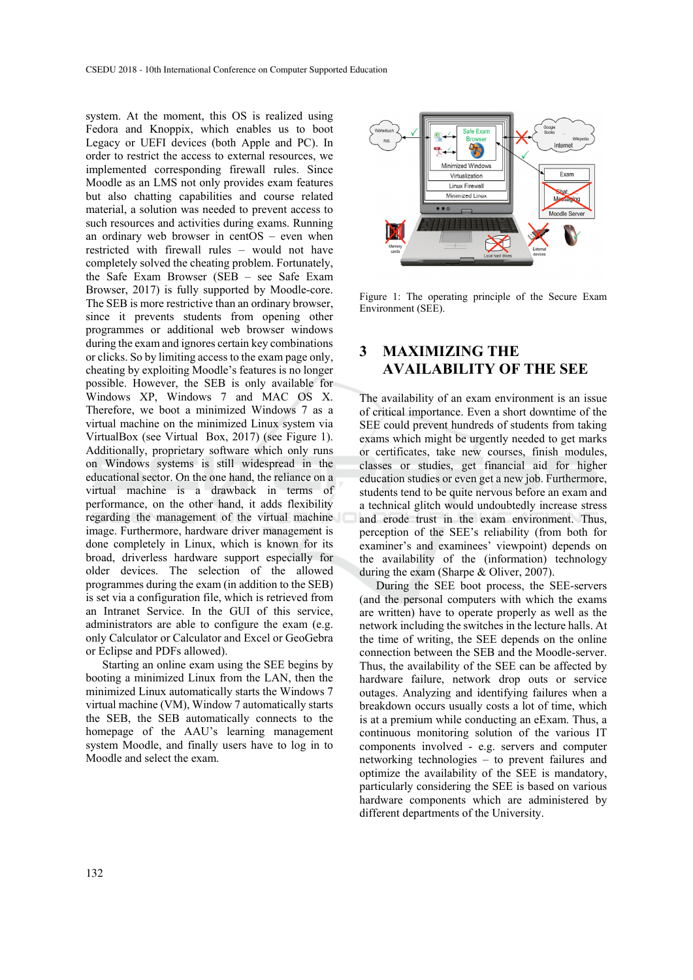system. At the moment, this OS is realized using Fedora and Knoppix, which enables us to boot Legacy or UEFI devices (both Apple and PC). In order to restrict the access to external resources, we implemented corresponding firewall rules. Since Moodle as an LMS not only provides exam features but also chatting capabilities and course related material, a solution was needed to prevent access to such resources and activities during exams. Running an ordinary web browser in centOS – even when restricted with firewall rules – would not have completely solved the cheating problem. Fortunately, the Safe Exam Browser (SEB – see Safe Exam Browser, 2017) is fully supported by Moodle-core. The SEB is more restrictive than an ordinary browser, since it prevents students from opening other programmes or additional web browser windows during the exam and ignores certain key combinations or clicks. So by limiting access to the exam page only, cheating by exploiting Moodle's features is no longer possible. However, the SEB is only available for Windows XP, Windows 7 and MAC OS X. Therefore, we boot a minimized Windows 7 as a virtual machine on the minimized Linux system via VirtualBox (see Virtual Box, 2017) (see Figure 1). Additionally, proprietary software which only runs on Windows systems is still widespread in the educational sector. On the one hand, the reliance on a virtual machine is a drawback in terms of performance, on the other hand, it adds flexibility regarding the management of the virtual machine image. Furthermore, hardware driver management is done completely in Linux, which is known for its broad, driverless hardware support especially for older devices. The selection of the allowed programmes during the exam (in addition to the SEB) is set via a configuration file, which is retrieved from an Intranet Service. In the GUI of this service, administrators are able to configure the exam (e.g. only Calculator or Calculator and Excel or GeoGebra or Eclipse and PDFs allowed).

Starting an online exam using the SEE begins by booting a minimized Linux from the LAN, then the minimized Linux automatically starts the Windows 7 virtual machine (VM), Window 7 automatically starts the SEB, the SEB automatically connects to the homepage of the AAU's learning management system Moodle, and finally users have to log in to Moodle and select the exam.



Figure 1: The operating principle of the Secure Exam Environment (SEE).

### **3 MAXIMIZING THE AVAILABILITY OF THE SEE**

The availability of an exam environment is an issue of critical importance. Even a short downtime of the SEE could prevent hundreds of students from taking exams which might be urgently needed to get marks or certificates, take new courses, finish modules, classes or studies, get financial aid for higher education studies or even get a new job. Furthermore, students tend to be quite nervous before an exam and a technical glitch would undoubtedly increase stress and erode trust in the exam environment. Thus, perception of the SEE's reliability (from both for examiner's and examinees' viewpoint) depends on the availability of the (information) technology during the exam (Sharpe & Oliver, 2007).

During the SEE boot process, the SEE-servers (and the personal computers with which the exams are written) have to operate properly as well as the network including the switches in the lecture halls. At the time of writing, the SEE depends on the online connection between the SEB and the Moodle-server. Thus, the availability of the SEE can be affected by hardware failure, network drop outs or service outages. Analyzing and identifying failures when a breakdown occurs usually costs a lot of time, which is at a premium while conducting an eExam. Thus, a continuous monitoring solution of the various IT components involved - e.g. servers and computer networking technologies – to prevent failures and optimize the availability of the SEE is mandatory, particularly considering the SEE is based on various hardware components which are administered by different departments of the University.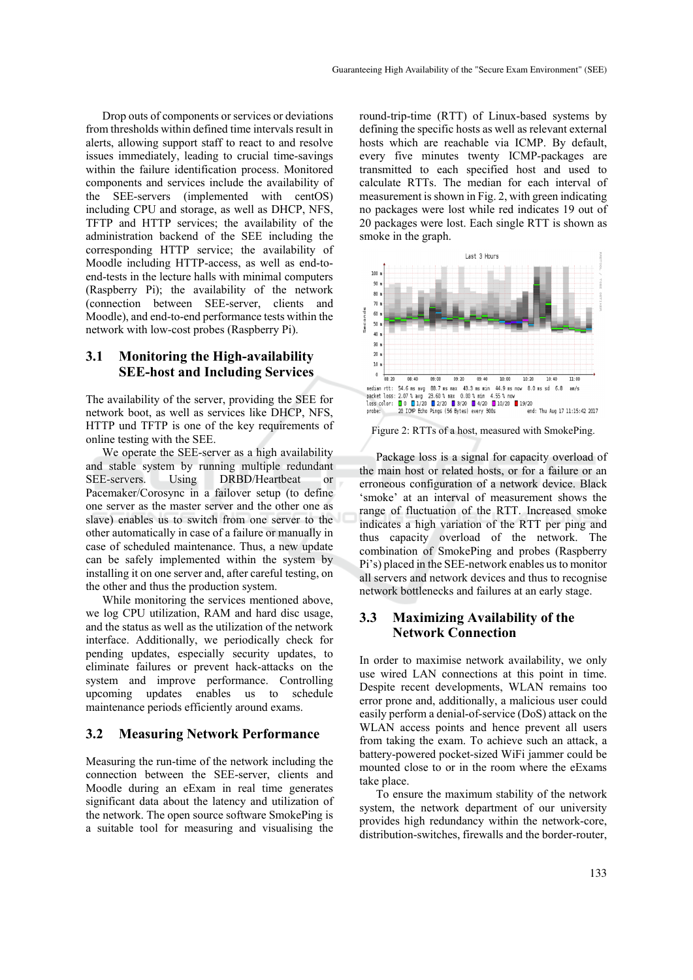Drop outs of components or services or deviations from thresholds within defined time intervals result in alerts, allowing support staff to react to and resolve issues immediately, leading to crucial time-savings within the failure identification process. Monitored components and services include the availability of the SEE-servers (implemented with centOS) including CPU and storage, as well as DHCP, NFS, TFTP and HTTP services; the availability of the administration backend of the SEE including the corresponding HTTP service; the availability of Moodle including HTTP-access, as well as end-toend-tests in the lecture halls with minimal computers (Raspberry Pi); the availability of the network (connection between SEE-server, clients and Moodle), and end-to-end performance tests within the network with low-cost probes (Raspberry Pi).

#### **3.1 Monitoring the High-availability SEE-host and Including Services**

The availability of the server, providing the SEE for network boot, as well as services like DHCP, NFS, HTTP und TFTP is one of the key requirements of online testing with the SEE.

We operate the SEE-server as a high availability and stable system by running multiple redundant SEE-servers. Using DRBD/Heartbeat or Pacemaker/Corosync in a failover setup (to define one server as the master server and the other one as slave) enables us to switch from one server to the other automatically in case of a failure or manually in case of scheduled maintenance. Thus, a new update can be safely implemented within the system by installing it on one server and, after careful testing, on the other and thus the production system.

While monitoring the services mentioned above, we log CPU utilization, RAM and hard disc usage, and the status as well as the utilization of the network interface. Additionally, we periodically check for pending updates, especially security updates, to eliminate failures or prevent hack-attacks on the system and improve performance. Controlling upcoming updates enables us to schedule maintenance periods efficiently around exams.

#### **3.2 Measuring Network Performance**

Measuring the run-time of the network including the connection between the SEE-server, clients and Moodle during an eExam in real time generates significant data about the latency and utilization of the network. The open source software SmokePing is a suitable tool for measuring and visualising the

round-trip-time (RTT) of Linux-based systems by defining the specific hosts as well as relevant external hosts which are reachable via ICMP. By default, every five minutes twenty ICMP-packages are transmitted to each specified host and used to calculate RTTs. The median for each interval of measurement is shown in Fig. 2, with green indicating no packages were lost while red indicates 19 out of 20 packages were lost. Each single RTT is shown as smoke in the graph.



Figure 2: RTTs of a host, measured with SmokePing.

Package loss is a signal for capacity overload of the main host or related hosts, or for a failure or an erroneous configuration of a network device. Black 'smoke' at an interval of measurement shows the range of fluctuation of the RTT. Increased smoke indicates a high variation of the RTT per ping and thus capacity overload of the network. The combination of SmokePing and probes (Raspberry Pi's) placed in the SEE-network enables us to monitor all servers and network devices and thus to recognise network bottlenecks and failures at an early stage.

#### **3.3 Maximizing Availability of the Network Connection**

In order to maximise network availability, we only use wired LAN connections at this point in time. Despite recent developments, WLAN remains too error prone and, additionally, a malicious user could easily perform a denial-of-service (DoS) attack on the WLAN access points and hence prevent all users from taking the exam. To achieve such an attack, a battery-powered pocket-sized WiFi jammer could be mounted close to or in the room where the eExams take place.

To ensure the maximum stability of the network system, the network department of our university provides high redundancy within the network-core, distribution-switches, firewalls and the border-router,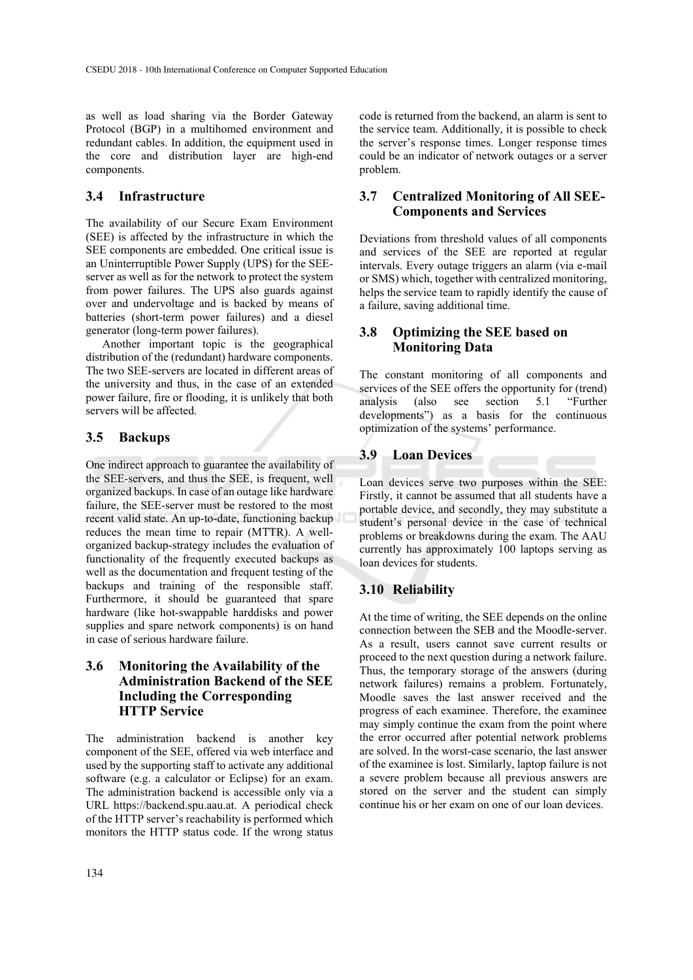as well as load sharing via the Border Gateway Protocol (BGP) in a multihomed environment and redundant cables. In addition, the equipment used in the core and distribution layer are high-end components.

#### **3.4 Infrastructure**

The availability of our Secure Exam Environment (SEE) is affected by the infrastructure in which the SEE components are embedded. One critical issue is an Uninterruptible Power Supply (UPS) for the SEEserver as well as for the network to protect the system from power failures. The UPS also guards against over and undervoltage and is backed by means of batteries (short-term power failures) and a diesel generator (long-term power failures).

Another important topic is the geographical distribution of the (redundant) hardware components. The two SEE-servers are located in different areas of the university and thus, in the case of an extended power failure, fire or flooding, it is unlikely that both servers will be affected.

#### **3.5 Backups**

One indirect approach to guarantee the availability of the SEE-servers, and thus the SEE, is frequent, well organized backups. In case of an outage like hardware failure, the SEE-server must be restored to the most recent valid state. An up-to-date, functioning backup reduces the mean time to repair (MTTR). A wellorganized backup-strategy includes the evaluation of functionality of the frequently executed backups as well as the documentation and frequent testing of the backups and training of the responsible staff. Furthermore, it should be guaranteed that spare hardware (like hot-swappable harddisks and power supplies and spare network components) is on hand in case of serious hardware failure.

#### **3.6 Monitoring the Availability of the Administration Backend of the SEE Including the Corresponding HTTP Service**

The administration backend is another key component of the SEE, offered via web interface and used by the supporting staff to activate any additional software (e.g. a calculator or Eclipse) for an exam. The administration backend is accessible only via a URL https://backend.spu.aau.at. A periodical check of the HTTP server's reachability is performed which monitors the HTTP status code. If the wrong status code is returned from the backend, an alarm is sent to the service team. Additionally, it is possible to check the server's response times. Longer response times could be an indicator of network outages or a server problem.

#### **3.7 Centralized Monitoring of All SEE-Components and Services**

Deviations from threshold values of all components and services of the SEE are reported at regular intervals. Every outage triggers an alarm (via e-mail or SMS) which, together with centralized monitoring, helps the service team to rapidly identify the cause of a failure, saving additional time.

#### **3.8 Optimizing the SEE based on Monitoring Data**

The constant monitoring of all components and services of the SEE offers the opportunity for (trend) analysis (also see section 5.1 "Further developments") as a basis for the continuous optimization of the systems' performance.

## **3.9 Loan Devices**

Loan devices serve two purposes within the SEE: Firstly, it cannot be assumed that all students have a portable device, and secondly, they may substitute a student's personal device in the case of technical problems or breakdowns during the exam. The AAU currently has approximately 100 laptops serving as loan devices for students.

### **3.10 Reliability**

At the time of writing, the SEE depends on the online connection between the SEB and the Moodle-server. As a result, users cannot save current results or proceed to the next question during a network failure. Thus, the temporary storage of the answers (during network failures) remains a problem. Fortunately, Moodle saves the last answer received and the progress of each examinee. Therefore, the examinee may simply continue the exam from the point where the error occurred after potential network problems are solved. In the worst-case scenario, the last answer of the examinee is lost. Similarly, laptop failure is not a severe problem because all previous answers are stored on the server and the student can simply continue his or her exam on one of our loan devices.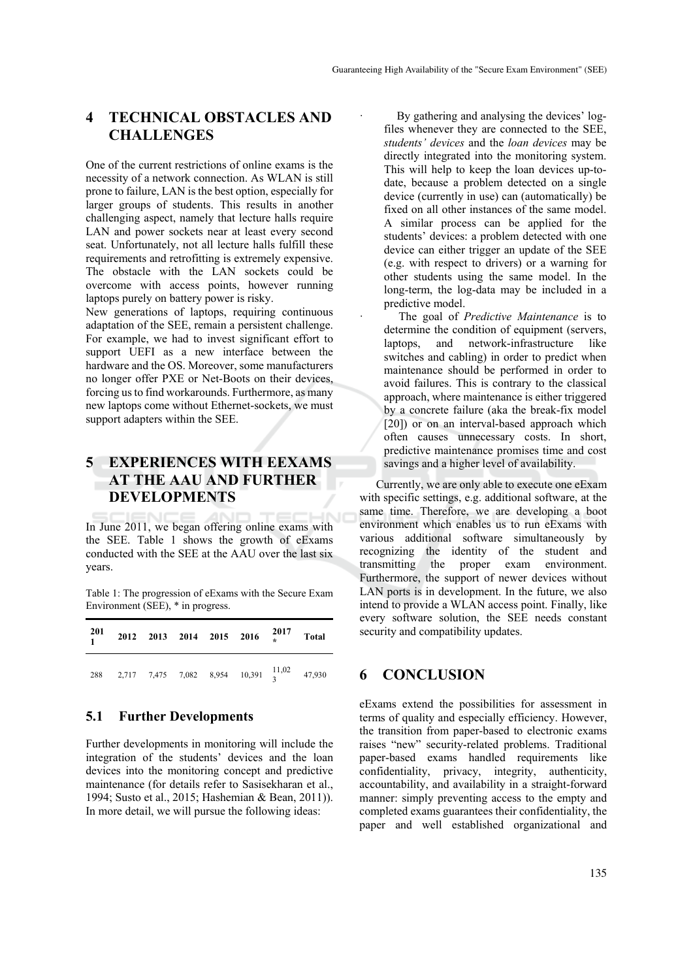### **4 TECHNICAL OBSTACLES AND CHALLENGES**

One of the current restrictions of online exams is the necessity of a network connection. As WLAN is still prone to failure, LAN is the best option, especially for larger groups of students. This results in another challenging aspect, namely that lecture halls require LAN and power sockets near at least every second seat. Unfortunately, not all lecture halls fulfill these requirements and retrofitting is extremely expensive. The obstacle with the LAN sockets could be overcome with access points, however running laptops purely on battery power is risky.

New generations of laptops, requiring continuous adaptation of the SEE, remain a persistent challenge. For example, we had to invest significant effort to support UEFI as a new interface between the hardware and the OS. Moreover, some manufacturers no longer offer PXE or Net-Boots on their devices, forcing us to find workarounds. Furthermore, as many new laptops come without Ethernet-sockets, we must support adapters within the SEE.

### **5 EXPERIENCES WITH EEXAMS AT THE AAU AND FURTHER DEVELOPMENTS**

In June 2011, we began offering online exams with the SEE. Table 1 shows the growth of eExams conducted with the SEE at the AAU over the last six years.

Table 1: The progression of eExams with the Secure Exam Environment (SEE), \* in progress.

| $\frac{201}{1}$ |  |  | 2012 2013 2014 2015 2016 $\frac{2017}{*}$ Total             |  |
|-----------------|--|--|-------------------------------------------------------------|--|
|                 |  |  | 288 2,717 7,475 7,082 8,954 10,391 $\frac{11,02}{3}$ 47,930 |  |

#### **5.1 Further Developments**

Further developments in monitoring will include the integration of the students' devices and the loan devices into the monitoring concept and predictive maintenance (for details refer to Sasisekharan et al., 1994; Susto et al., 2015; Hashemian & Bean, 2011)). In more detail, we will pursue the following ideas:

By gathering and analysing the devices' logfiles whenever they are connected to the SEE, *students' devices* and the *loan devices* may be directly integrated into the monitoring system. This will help to keep the loan devices up-todate, because a problem detected on a single device (currently in use) can (automatically) be fixed on all other instances of the same model. A similar process can be applied for the students' devices: a problem detected with one device can either trigger an update of the SEE (e.g. with respect to drivers) or a warning for other students using the same model. In the long-term, the log-data may be included in a predictive model.

The goal of *Predictive Maintenance* is to determine the condition of equipment (servers, laptops, and network-infrastructure like switches and cabling) in order to predict when maintenance should be performed in order to avoid failures. This is contrary to the classical approach, where maintenance is either triggered by a concrete failure (aka the break-fix model [20]) or on an interval-based approach which often causes unnecessary costs. In short, predictive maintenance promises time and cost savings and a higher level of availability.

Currently, we are only able to execute one eExam with specific settings, e.g. additional software, at the same time. Therefore, we are developing a boot environment which enables us to run eExams with various additional software simultaneously by recognizing the identity of the student and transmitting the proper exam environment. Furthermore, the support of newer devices without LAN ports is in development. In the future, we also intend to provide a WLAN access point. Finally, like every software solution, the SEE needs constant security and compatibility updates.

### **6 CONCLUSION**

eExams extend the possibilities for assessment in terms of quality and especially efficiency. However, the transition from paper-based to electronic exams raises "new" security-related problems. Traditional paper-based exams handled requirements like confidentiality, privacy, integrity, authenticity, accountability, and availability in a straight-forward manner: simply preventing access to the empty and completed exams guarantees their confidentiality, the paper and well established organizational and